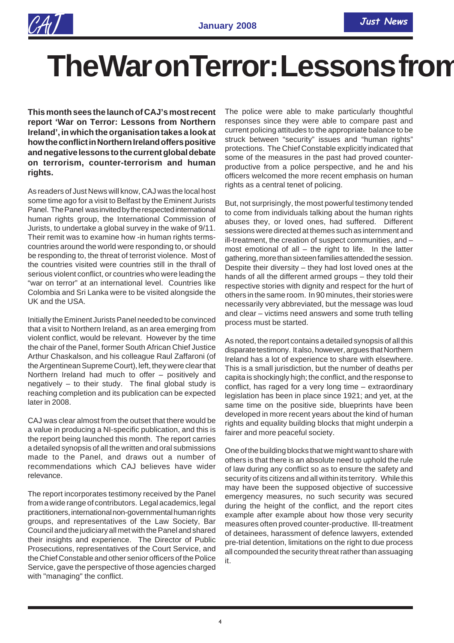## **The War on Terror: Lessons from**

**This month sees the launch of CAJ's most recent report 'War on Terror: Lessons from Northern Ireland', in which the organisation takes a look at how the conflict in Northern Ireland offers positive and negative lessons to the current global debate on terrorism, counter-terrorism and human rights.**

As readers of Just News will know, CAJ was the local host some time ago for a visit to Belfast by the Eminent Jurists Panel. The Panel was invited by the respected international human rights group, the International Commission of Jurists, to undertake a global survey in the wake of 9/11. Their remit was to examine how -in human rights termscountries around the world were responding to, or should be responding to, the threat of terrorist violence. Most of the countries visited were countries still in the thrall of serious violent conflict, or countries who were leading the "war on terror" at an international level. Countries like Colombia and Sri Lanka were to be visited alongside the UK and the USA.

Initially the Eminent Jurists Panel needed to be convinced that a visit to Northern Ireland, as an area emerging from violent conflict, would be relevant. However by the time the chair of the Panel, former South African Chief Justice Arthur Chaskalson, and his colleague Raul Zaffaroni (of the Argentinean Supreme Court), left, they were clear that Northern Ireland had much to offer – positively and negatively – to their study. The final global study is reaching completion and its publication can be expected later in 2008.

CAJ was clear almost from the outset that there would be a value in producing a NI-specific publication, and this is the report being launched this month. The report carries a detailed synopsis of all the written and oral submissions made to the Panel, and draws out a number of recommendations which CAJ believes have wider relevance.

The report incorporates testimony received by the Panel from a wide range of contributors. Legal academics, legal practitioners, international non-governmental human rights groups, and representatives of the Law Society, Bar Council and the judiciary all met with the Panel and shared their insights and experience. The Director of Public Prosecutions, representatives of the Court Service, and the Chief Constable and other senior officers of the Police Service, gave the perspective of those agencies charged with "managing" the conflict.

The police were able to make particularly thoughtful responses since they were able to compare past and current policing attitudes to the appropriate balance to be struck between "security" issues and "human rights" protections. The Chief Constable explicitly indicated that some of the measures in the past had proved counterproductive from a police perspective, and he and his officers welcomed the more recent emphasis on human rights as a central tenet of policing.

But, not surprisingly, the most powerful testimony tended to come from individuals talking about the human rights abuses they, or loved ones, had suffered. Different sessions were directed at themes such as internment and ill-treatment, the creation of suspect communities, and – most emotional of all  $-$  the right to life. In the latter gathering, more than sixteen families attended the session. Despite their diversity – they had lost loved ones at the hands of all the different armed groups – they told their respective stories with dignity and respect for the hurt of others in the same room. In 90 minutes, their stories were necessarily very abbreviated, but the message was loud and clear – victims need answers and some truth telling process must be started.

As noted, the report contains a detailed synopsis of all this disparate testimony. It also, however, argues that Northern Ireland has a lot of experience to share with elsewhere. This is a small jurisdiction, but the number of deaths per capita is shockingly high; the conflict, and the response to conflict, has raged for a very long time – extraordinary legislation has been in place since 1921; and yet, at the same time on the positive side, blueprints have been developed in more recent years about the kind of human rights and equality building blocks that might underpin a fairer and more peaceful society.

One of the building blocks that we might want to share with others is that there is an absolute need to uphold the rule of law during any conflict so as to ensure the safety and security of its citizens and all within its territory. While this may have been the supposed objective of successive emergency measures, no such security was secured during the height of the conflict, and the report cites example after example about how those very security measures often proved counter-productive. Ill-treatment of detainees, harassment of defence lawyers, extended pre-trial detention, limitations on the right to due process all compounded the security threat rather than assuaging it.